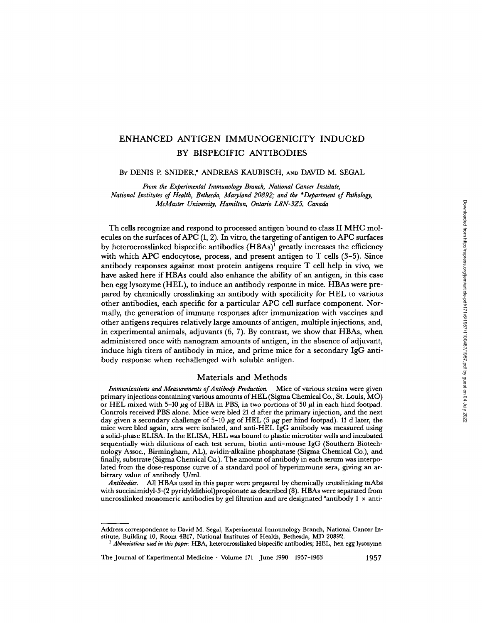# ENHANCED ANTIGEN IMMUNOGENICITY INDUCED BY BISPECIFIC ANTIBODIES

# BY DENIS P. SNIDER,\* ANDREAS KAUBISCH, AND DAVID M. SEGAL

From the Experimental Immunology Branch, National Cancer Institute, National Institutes of Health, Bethesda, Maryland 20892; and the \*Department of Pathology, McMaster University, Hamilton, Ontario L8N-3Z5, Canada

Th cells recognize and respond to processed antigen bound to class II MHC molecules on the surfaces of APC  $(1, 2)$ . In vitro, the targeting of antigen to APC surfaces by heterocrosslinked bispecific antibodies  $(HBAs)^1$  greatly increases the efficiency with which APC endocytose, process, and present antigen to T cells (3-5). Since antibody responses against most protein antigens require T cell help in vivo, we have asked here if HBAs could also enhance the ability of an antigen, in this case hen egg lysozyme (HEL), to induce an antibody response in mice. HBAs were prepared by chemically crosslinking an antibody with specificity for HEL to various other antibodies, each specific for a particular APC cell surface component. Normally, the generation of immune responses after immunization with vaccines and other antigens requires relatively large amounts ofantigen, multiple injections, and, in experimental animals, adjuvants (6, 7). By contrast, we show that HBAs, when administered once with nanogram amounts of antigen, in the absence of adjuvant, induce high titers of antibody in mice, and prime mice for a secondary IgG antibody response when rechallenged with soluble antigen.

## Materials and Methods

Immunizations and Measurements of Antibody Production. Mice of various strains were given primary injections containing various amounts ofHEL (Sigma Chemical Co., St. Louis, MO) or HEL mixed with 5-10  $\mu$ g of HBA in PBS, in two portions of 50  $\mu$ l in each hind footpad. Controls received PBS alone. Mice were bled 21 d after the primary injection, and the next day given a secondary challenge of  $5-10 \mu$ g of HEL (5  $\mu$ g per hind footpad). 11 d later, the mice were bled again, sera were isolated, and anti-HEL IgG antibody was measured using <sup>a</sup> solid-phase ELISA. In the ELISA, HEL was bound to plastic microtiter wells and incubated sequentially with dilutions of each test serum, biotin anti-mouse IgG (Southern Biotechnology Assoc., Birmingham, AL), avidin-alkaline phosphatase (Sigma Chemical Co.), and finally, substrate (Sigma Chemical Co.) . The amount of antibody in each serum was interpolated from the dose-response curve of a standard pool of hyperimmune sera, giving an arbitrary value of antibody U/ml.

Antibodies. All HBAs used in this paper were prepared by chemically crosslinking mAbs with succinimidyl-3-(2 pyridyldithiol)propionate as described (8). HBAs were separated from uncrosslinked monomeric antibodies by gel filtration and are designated "antibody 1 x anti-

The Journal of Experimental Medicine - Volume <sup>171</sup> June 1990 1957-1963 1957

Address correspondence to David M. Segal, Experimental Immunology Branch, National Cancer Institute, Building 10, Room 4B17, National Institutes of Health, Bethesda, MD 20892.

 $^1$  Abbreviations used in this paper. HBA, heterocrosslinked bispecific antibodies; HEL, hen egg lysozyme.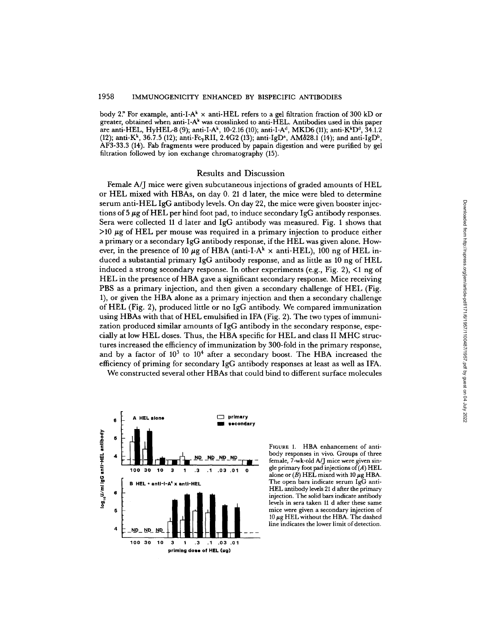body 2." For example, anti-I-A' x anti-HEL refers to <sup>a</sup> gel filtration fraction of 300 kD or greater, obtained when anti-I-A' was crosslinked to anti-HEL. Antibodies used in this paper are anti-HEL, HyHEL-8 (9); anti-I-A<sup>k</sup>, 10-2.16 (10); anti-I-A<sup>d</sup>, MKD6 (11); anti-K<sup>k</sup>D<sup>d</sup>, 34.1.2 (12); anti-K<sup>k</sup>, 36.7.5 (12); anti-Fc<sub>7</sub>RII, 2.4G2 (13); anti-IgD<sup>a</sup>, AM828.1 (14); and anti-IgD<sup>b</sup>, AF3-33.3 (14) . Fab fragments were produced by papain digestion and were purified by gel filtration followed by ion exchange chromatography (15).

# Results and Discussion

Female A/J mice were given subcutaneous injections of graded amounts of HEL or HEL mixed with HBAs, on day 0. 21 d later, the mice were bled to determine serum anti-HEL IgG antibody levels . On day 22, the mice were given booster injections of 5  $\mu$ g of HEL per hind foot pad, to induce secondary IgG antibody responses. Sera were collected <sup>11</sup> d later and IgG antibody was measured. Fig. <sup>1</sup> shows that  $>10 \mu$ g of HEL per mouse was required in a primary injection to produce either a primary or <sup>a</sup> secondary IgG antibody response, if the HEL was given alone. However, in the presence of 10  $\mu$ g of HBA (anti-I-A<sup>k</sup>  $\times$  anti-HEL), 100 ng of HEL induced <sup>a</sup> substantial primary IgG antibody response, and as little as <sup>10</sup> ng of HEL induced a strong secondary response. In other experiments (e.g., Fig. 2), <1 ng of HEL in the presence of HBA gave a significant secondary response. Mice receiving PBS as a primary injection, and then given <sup>a</sup> secondary challenge of HEL (Fig. 1), or given the HBA alone as a primary injection and then a secondary challenge of HEL (Fig. 2), produced little or no IgG antibody. We compared immunization using HBAs with that of HEL emulsified in IFA (Fig. 2) . The two types of immunization produced similar amounts of IgG antibody in the secondary response, especially at low HEL doses. Thus, the HBA specific for HEL and class II MHC structures increased the efficiency of immunization by 300-fold in the primary response, and by a factor of  $10^3$  to  $10^4$  after a secondary boost. The HBA increased the efficiency of priming for secondary IgG antibody responses at least as well as IFA. from the mice were given booster injec-<br>
sevas measured. Fig. 1 shows that<br>
the HEL was given alone. How<br>
if the HEL was given alone. How<br>
x anti-HEL), 100 ng of HEL in-<br>
se, and as little as 10 ng of HEL in-<br>
condary resp

We constructed several other HBAs that could bind to different surface molecules



FIGURE 1. HBA enhancement of antibody responses in vivo. Groups of three female, 7-wk-old A/J mice were given single primary foot pad injections of  $(A)$  HEL alone or  $(\cancel{B})$  HEL mixed with 10  $\mu$ g HBA. The open bars indicate serum IgG anti-HEL antibody levels <sup>21</sup> <sup>d</sup> after the primary injection . The solid bars indicate antibody levels in sera taken <sup>11</sup> d after these same mice were given a secondary injection of 10  $\mu$ g HEL without the HBA. The dashed<br>line indicates the lower limit of detection.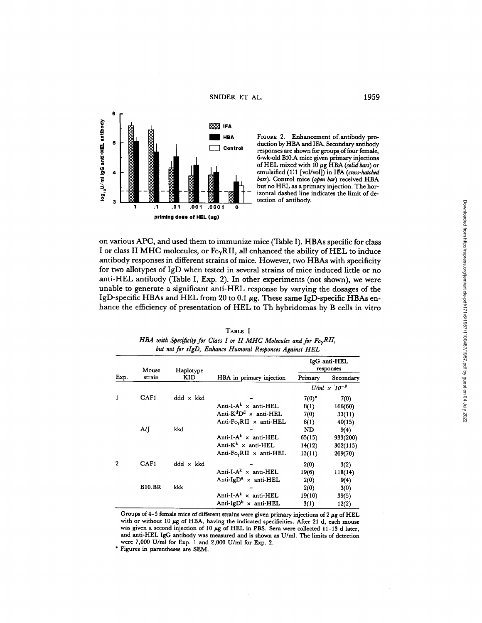SNIDER ET AL. 1959



FIGURE 2. Enhancement of antibody production by HBA and IFA. Secondary antibody responses are shown for groups of four female, 6-wk-old B10.A mice given primary injections of HEL mixed with 10  $\mu$ g HBA (solid bars) or emulsified (1:1 [vol/vol]) in IFA (cross-hatched bars). Control mice (open bar) received HBA but no HEL as a primary injection. The horizontal dashed line indicates the limit of detection of antibody.

on various APC, and used them to immunize mice (Table I) . HBAs specific for class I or class II MHC molecules, or  $Fc_\gamma RII$ , all enhanced the ability of HEL to induce antibody responses in different strains of mice. However, two HBAs with specificity for two allotypes of IgD when tested in several strains of mice induced little or no anti-HEL antibody (Table I, Exp. 2) . In other experiments (not shown), we were unable to generate a significant anti-HEL response by varying the dosages of the IgD-specific HBAs and HEL from 20 to 0.1  $\mu$ g. These same IgD-specific HBAs enhance the efficiency of presentation of HEL to Th hybridomas by B cells in vitro

| TABLE I                                                                             |  |
|-------------------------------------------------------------------------------------|--|
| HBA with Specificity for Class I or II MHC Molecules and for $Fc_{\mathbf{x}}RII$ , |  |
| but not for sIgD, Enhance Humoral Responses Against HEL                             |  |

| Exp.             | Mouse         | Haplotype        |                                         | IgG anti-HEL<br>responses      |           |
|------------------|---------------|------------------|-----------------------------------------|--------------------------------|-----------|
|                  | strain        | KID              | HBA in primary injection                | Primary                        | Secondary |
|                  |               |                  |                                         | U/ml $\times$ 10 <sup>-3</sup> |           |
| $\mathbf{1}$     | CAF1          | $ddd \times kkd$ |                                         | $7(0)^*$                       | 7(0)      |
|                  |               |                  | Anti-I- $A^k$ x anti-HEL                | 8(1)                           | 166(60)   |
|                  |               |                  | Anti- $K^dD^d \times$ anti-HEL          | 7(0)                           | 33(11)    |
|                  |               |                  | Anti- $Fc_{\gamma}RII \times anti-HEL$  | 8(1)                           | 40(15)    |
|                  | A/J           | kkd              |                                         | ND                             | 9(4)      |
|                  |               |                  | Anti-I- $A^k \times$ anti-HEL           | 63(15)                         | 933(200)  |
|                  |               |                  | Anti- $K^k$ × anti-HEL                  | 14(12)                         | 302(115)  |
|                  |               |                  | Anti- $Fc_{\gamma}RII \times anti-HEL$  | 13(11)                         | 269(70)   |
| $\boldsymbol{2}$ | CAF1          | $ddd \times kkd$ |                                         | 2(0)                           | 3(2)      |
|                  |               |                  | Anti-I- $A^k \times$ anti-HEL           | 19(6)                          | 118(14)   |
|                  |               |                  | Anti-IgD <sup>a</sup> $\times$ anti-HEL | 2(0)                           | 9(4)      |
|                  | <b>B10.BR</b> | kkk              |                                         | 2(0)                           | 3(0)      |
|                  |               |                  | Anti-I- $A^k$ x anti-HEL                | 19(10)                         | 39(5)     |
|                  |               |                  | Anti-IgD <sup>b</sup> $\times$ anti-HEL | 3(1)                           | 12(2)     |

Groups of 4-5 female mice of different strains were given primary injections of <sup>2</sup> wg of HEL with or without 10  $\mu$ g of HBA, having the indicated specificities. After 21 d, each mouse was given a second injection of 10  $\mu$ g of HEL in PBS. Sera were collected 11-13 d later, and anti-HEL IgG antibody was measured and is shown as U/ml . The limits of detection were 7,000 U/ml for Exp. <sup>1</sup> and 2,000 U/ml for Exp. 2.

Figures in parentheses are SEM.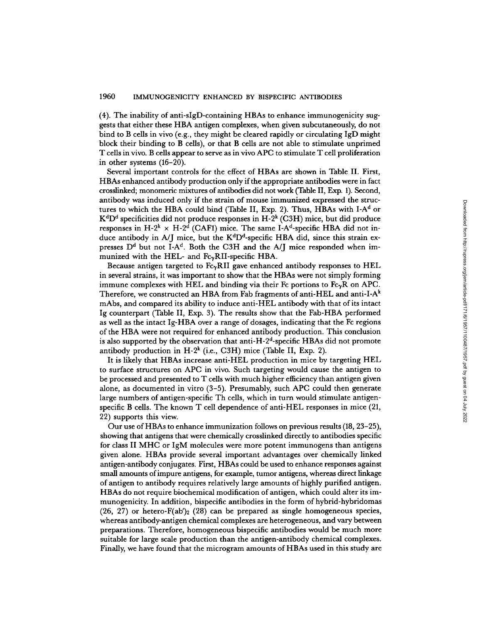(4). The inability of anti-sIgD-containing HBAs to enhance immunogenicity suggests that either these HBA antigen complexes, when given subcutaneously, do not bind to B cells in vivo (e.g., they might be cleared rapidly or circulating IgD might block their binding to B cells), or that B cells are not able to stimulate unprimed T cells in vivo. B cells appear to serve as in vivo APC to stimulate T cell proliferation in other systems (16-20).

Several important controls for the effect of HBAs are shown in Table II . First, HBAs enhanced antibody production only if the appropriate antibodies were in fact crosslinked; monomeric mixtures of antibodies did not work (Table II, Exp. 1) . Second, antibody was induced only if the strain of mouse immunized expressed the structures to which the HBA could bind (Table II, Exp. 2). Thus, HBAs with  $I-A<sup>d</sup>$  or  $\mathrm{K}^{\mathrm{d}}\mathrm{D}^{\mathrm{d}}$  specificities did not produce responses in H-2 $^{\mathrm{k}}$  (C3H) mice, but did produce responses in H-2<sup>k</sup>  $\times$  H-2<sup>d</sup> (CAF1) mice. The same I-A<sup>d</sup>-specific HBA did not induce antibody in A/J mice, but the  $K<sup>d</sup>D<sup>d</sup>$ -specific HBA did, since this strain expresses  $D^d$  but not I-A<sup>d</sup>. Both the C3H and the A/J mice responded when immunized with the HEL- and  $Fc_\gamma RII$ -specific HBA.

Because antigen targeted to  $Fc_\gamma RII$  gave enhanced antibody responses to HEL in several strains, it was important to show that the HBAs were not simply forming immune complexes with HEL and binding via their Fc portions to  $Fc_\gamma R$  on APC. Therefore, we constructed an HBA from Fab fragments of anti-HEL and anti-I-A $^k$ mAbs, and compared its ability to induce anti-HEL antibody with that of its intact Ig counterpart (Table II, Exp. 3) . The results show that the Fab-HBA performed as well as the intact Ig-HBA over a range of dosages, indicating that the Fc regions of the HBA were not required for enhanced antibody production. This conclusion is also supported by the observation that anti-H-2 d-specific HBAs did not promote antibody production in  $H-2^k$  (i.e., C3H) mice (Table II, Exp. 2).

It is likely that HBAs increase anti-HEL production in mice by targeting HEL to surface structures on APC in vivo . Such targeting would cause the antigen to be processed and presented to T cells with much higher efficiency than antigen given alone, as documented in vitro (3-5). Presumably, such APC could then generate large numbers of antigen-specific Th cells, which in turn would stimulate antigenspecific B cells. The known T cell dependence of anti-HEL responses in mice (21, 22) supports this view.

Our use of HBAs to enhance immunization follows on previous results (18, 23–25), showing that antigens that were chemically crosslinked directly to antibodies specific for class II MHC or IgM molecules were more potent immunogens than antigens given alone. HBAs provide several important advantages over chemically linked antigen-antibody conjugates . First, HBAs could be used to enhance responses against small amounts of impure antigens, for example, tumor antigens, whereas direct linkage of antigen to antibody requires relatively large amounts ofhighly purified antigen. HBAs do not require biochemical modification ofantigen, which could alter its immunogenicity. In addition, bispecific antibodies in the form of hybrid-hybridomas  $(26, 27)$  or hetero-F(ab')<sub>2</sub> (28) can be prepared as single homogeneous species, whereas antibody-antigen chemical complexes are heterogeneous, and vary between preparations . Therefore, homogeneous bispecific antibodies would be much more suitable for large scale production than the antigen-antibody chemical complexes. Finally, we have found that the microgram amounts of HBAs used in this study are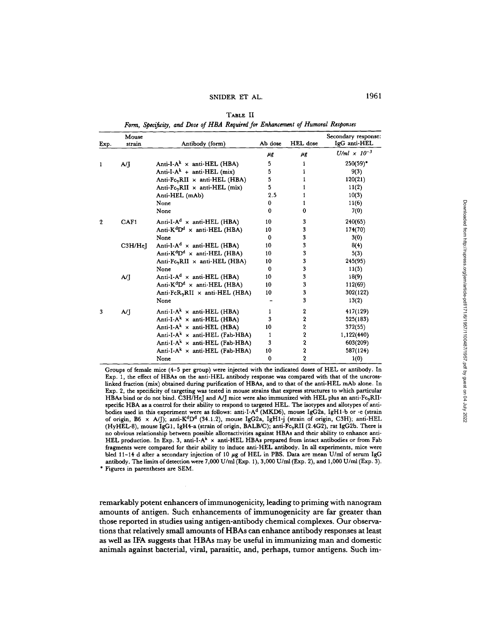| Exp.        | Mouse<br>strain | Antibody (form)                                   | Ab dose  | HEL dose                | Secondary response:<br>IgG anti-HEL |
|-------------|-----------------|---------------------------------------------------|----------|-------------------------|-------------------------------------|
|             |                 |                                                   | μg       | μg                      | U/ml $\times$ 10 <sup>-3</sup>      |
| 1           | A/I             | Anti-I-A <sup>k</sup> $\times$ anti-HEL (HBA)     | 5.       | 1                       | $250(59)^*$                         |
|             |                 | Anti-I- $A^k$ + anti-HEL (mix)                    | 5        |                         | 9(3)                                |
|             |                 | Anti-FcyRII x anti-HEL (HBA)                      | 5        | 1                       | 120(21)                             |
|             |                 | Anti- $Fc_{\gamma}RII \times anti-HEL$ (mix)      | 5        | 1                       | 11(2)                               |
|             |                 | Anti-HEL (mAb)                                    | 2.5      | 1                       | 10(3)                               |
|             |                 | None                                              | 0        | 1                       | 11(6)                               |
|             |                 | None                                              | 0        | 0                       | 7(0)                                |
| $\mathbf 2$ | CAF1            | Anti-I-A <sup>d</sup> $\times$ anti-HEL (HBA)     | 10       | 3                       | 240(65)                             |
|             |                 | Anti- $K^dD^d \times$ anti-HEL (HBA)              | 10       | 3                       | 174(70)                             |
|             |                 | None                                              | $\bf{0}$ | 3                       | 3(0)                                |
|             | C3H/HeI         | Anti-I-A <sup>d</sup> $\times$ anti-HEL (HBA)     | 10       | 3                       | 8(4)                                |
|             |                 | Anti- $K^dD^d \times$ anti-HEL (HBA)              | 10       | 3                       | 5(3)                                |
|             |                 | Anti-Fc <sub>y</sub> RII x anti-HEL (HBA)         | 10       | 3                       | 245(95)                             |
|             |                 | None                                              | $\bf{0}$ | 3                       | 11(5)                               |
|             | A/I             | Anti-I-A <sup>d</sup> $\times$ anti-HEL (HBA)     | 10       | 3                       | 18(9)                               |
|             |                 | Anti- $K^dD^d \times$ anti-HEL (HBA)              | 10       | 3                       | 112(69)                             |
|             |                 | Anti-FcR <sub>y</sub> RII $\times$ anti-HEL (HBA) | 10       | 3                       | 302(122)                            |
|             |                 | None                                              |          | 3                       | 13(2)                               |
| 3           | A/I             | Anti-I-A <sup>k</sup> $\times$ anti-HEL (HBA)     | 1        | $\boldsymbol{2}$        | 417(129)                            |
|             |                 | Anti-I-A <sup>k</sup> $\times$ anti-HEL (HBA)     | 3        | $\overline{\mathbf{2}}$ | 525(183)                            |
|             |                 | Anti-I-A <sup>k</sup> $\times$ anti-HEL (HBA)     | 10       | $\overline{\mathbf{2}}$ | 372(55)                             |
|             |                 | Anti-I-A <sup>k</sup> $\times$ anti-HEL (Fab-HBA) | 1        | $\overline{\mathbf{2}}$ | 1,122(440)                          |
|             |                 | Anti-I-A <sup>k</sup> × anti-HEL (Fab-HBA)        | 3        | $\overline{\mathbf{2}}$ | 603(209)                            |
|             |                 | Anti-I-A <sup>k</sup> $\times$ anti-HEL (Fab-HBA) | 10       | $\overline{\mathbf{2}}$ | 587(124)                            |
|             |                 | None                                              | 0        | $\overline{2}$          | 1(0)                                |

TABLE II Form, Specificity, and Dose of HBA Required for Enhancement of Humoral Responses

Groups of female mice (4-5 per group) were injected with the indicated doses of HEL or antibody . In Exp. 1, the effect of HBAs on the anti-HEL antibody response was compared with that of the uncrosslinked fraction (mix) obtained during purification of HBAs, and to that of the anti-HEL mAb alone . In Exp. 2, the specificity of targeting was tested in mouse strains that express structures to which particular HBAs bind or do not bind. C3H/HeJ and A/J mice were also immunized with HEL plus an anti-Fc<sub>y</sub>RIIspecific HBA as a control for their ability to respond to targeted HEL. The isotypes and allotypes of antibodies used in this experiment were as follows: anti-I-A<sup>d</sup> (MKD6), mouse IgG2a, IgH1-b or -e (strain of origin, B6 x A/J); anti-K<sup>d</sup>D<sup>d</sup> (34.1.2), mouse IgG2a, IgH1-j (strain of origin, C3H); anti-HEL (HyHEL-8), mouse IgG1, IgH4-a (strain of origin, BALB/C); anti-Fc yRII (2 .4G2), rat IgG26. There is no obvious relationship between possible alloreactivities against HBAs and their ability to enhance anti-HEL production. In Exp. 3, anti-I-A<sup>k</sup> x anti-HEL HBAs prepared from intact antibodies or from Fab fragments were compared for their ability to induce anti-HEL antibody . In all experiments, mice were bled 11-14 d after a secondary injection of 10  $\mu$ g of HEL in PBS. Data are mean U/ml of serum IgG antibody. The limits of detection were 7,000 U/ml (Exp. 1), 3,000 U/ml (Exp. 2), and 1,000 U/ml (Exp. 3).

Figures in parentheses are SEM.

remarkably potent enhancers ofimmunogenicity, leading to priming with nanogram amounts of antigen. Such enhancements of immunogenicity are far greater than those reported in studies using antigen-antibody chemical complexes. Our observations that relatively small amounts of HBAs can enhance antibody responses at least as well as IFA suggests that HBAs may be useful in immunizing man and domestic animals against bacterial, viral, parasitic, and, perhaps, tumor antigens . Such im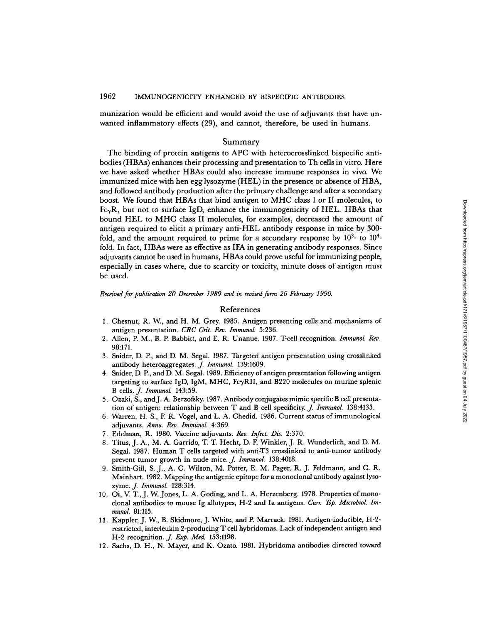munization would be efficient and would avoid the use of adjuvants that have unwanted inflammatory effects (29), and cannot, therefore, be used in humans.

# Summary

The binding of protein antigens to APC with heterocrosslinked bispecific antibodies (HBAs) enhances their processing and presentation to Th cells in vitro. Here we have asked whether HBAs could also increase immune responses in vivo. We immunized mice with hen egg lysozyme (HEL) in the presence or absence of HBA, and followed antibody production after the primary challenge and after a secondary boost. We found that HBAs that bind antigen to MHC class <sup>I</sup> or II molecules, to  $Fc<sub>y</sub>R$ , but not to surface IgD, enhance the immunogenicity of HEL. HBAs that bound HEL to MHC class II molecules, for examples, decreased the amount of antigen required to elicit a primary anti-HEL antibody response in mice by 300 fold, and the amount required to prime for a secondary response by  $10<sup>3</sup>$ - to  $10<sup>4</sup>$ fold. In fact, HBAs were as effective as IFA in generating antibody responses. Since adjuvants cannot be used in humans, HBAs could prove useful for immunizing people, especially in cases where, due to scarcity or toxicity, minute doses of antigen must be used.

Received for publication 20 December 1989 and in revised form 26 February 1990.

## References

- 1. Chesnut, R. W., and H. M. Grey. 1985. Antigen presenting cells and mechanisms of antigen presentation. CRC Crit. Rev. Immunol. 5:236.
- 2. Allen, P. M., B. P. Babbitt, and E. R. Unanue. 1987. T-cell recognition. Immunol. Rev. 98:171.
- 3 . Snider, D. P, and D. M. Segal. 1987. Targete d antigen presentation using crosslinked
- antibody heteroaggregates. *J. Immunol.* 139:1609.<br>4. Snider, D. P., and D. M. Segal. 1989. Efficiency of antigen presentation following antigen targeting to surface IgD, IgM, MHC, Fc $\gamma$ RII, and B220 molecules on murine s the Ign, Fe-UIs, J. Immunol. 143:59.<br>5. Ozaki, S., and J. A. Berzofsky. 1987. Antibody conjugates mimic specific B cell presenta-
- tion of antigen: relationship between T and B cell specificity.  $J$ . Immunol. 138:4133.
- <sup>6</sup> . Warren, H. S., F. R. Vogel, and L. A. Chedid. 1986. Current status of immunological adjuvants. Annu. Rev. Immunol. 4:369.
- 7. Edelman, R. 1980. Vaccine adjuvants. Rev. Infect. Dis. 2:370.
- <sup>8</sup> . Titus, J. A., M. A. Garrido, T. T Hecht, D. F. Winkler, J. R. Wunderlich, and D. M. Segal. 1987. Human T cells targeted with anti-T3 crosslinked to anti-tumor antibody prevent tumor growth in nude mice. J. Immunol. 138:4018.
- <sup>9</sup> . Smith-Gill, S. J., A. C. Wilson, M. Potter, E. M. Pager, R. J. Feldmann, and C. R. Mainhart. 1982 . Mappin g the antigenic epitope for a monoclonal antibody against lysozyme. *J. Immunol.* 128:314.
- 10. Oi, V. T., J. W. Jones, L. A. Goding, and L. A. Herzenberg. 1978. Properties of monoclonal antibodies to mouse Ig allotypes, H-2 and Ia antigens. Curr. Top. Microbiol. Immunol. 81:115.
- mand. 01115.<br>11. Kappler, J. W., B. Skidmore, J. White, and P. Marrack. 1981. Antigen-inducible, H-2restricted, interleukin 2-producing T cell hybridomas. Lack of independent antigen and H-2 recognition. *J. Exp. Med.* 153:1198.
- 12 . Sachs, D. H., N. Mayer, and K. Ozato. <sup>1981</sup> . Hybridoma antibodies directed toward